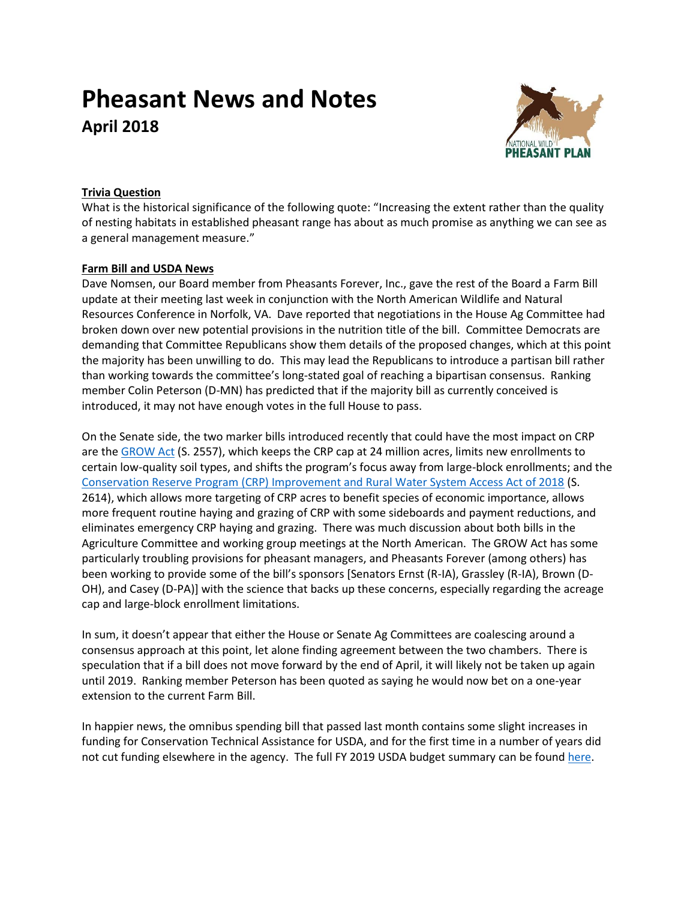# **Pheasant News and Notes April 2018**



## **Trivia Question**

What is the historical significance of the following quote: "Increasing the extent rather than the quality of nesting habitats in established pheasant range has about as much promise as anything we can see as a general management measure."

## **Farm Bill and USDA News**

Dave Nomsen, our Board member from Pheasants Forever, Inc., gave the rest of the Board a Farm Bill update at their meeting last week in conjunction with the North American Wildlife and Natural Resources Conference in Norfolk, VA. Dave reported that negotiations in the House Ag Committee had broken down over new potential provisions in the nutrition title of the bill. Committee Democrats are demanding that Committee Republicans show them details of the proposed changes, which at this point the majority has been unwilling to do. This may lead the Republicans to introduce a partisan bill rather than working towards the committee's long-stated goal of reaching a bipartisan consensus. Ranking member Colin Peterson (D-MN) has predicted that if the majority bill as currently conceived is introduced, it may not have enough votes in the full House to pass.

On the Senate side, the two marker bills introduced recently that could have the most impact on CRP are th[e GROW Act](https://www.ernst.senate.gov/public/index.cfm/2018/3/senators-introduce-bipartisan-bill-to-protect-rural-economies-through-conservation-reform) (S. 2557), which keeps the CRP cap at 24 million acres, limits new enrollments to certain low-quality soil types, and shifts the program's focus away from large-block enrollments; and the [Conservation Reserve Program \(CRP\) Improvement and Rural Water System Access Act of 2018](https://www.thune.senate.gov/public/index.cfm/press-releases?ID=AA403A5A-D139-4408-B806-206ED34DEB79) (S. 2614), which allows more targeting of CRP acres to benefit species of economic importance, allows more frequent routine haying and grazing of CRP with some sideboards and payment reductions, and eliminates emergency CRP haying and grazing. There was much discussion about both bills in the Agriculture Committee and working group meetings at the North American. The GROW Act has some particularly troubling provisions for pheasant managers, and Pheasants Forever (among others) has been working to provide some of the bill's sponsors [Senators Ernst (R-IA), Grassley (R-IA), Brown (D-OH), and Casey (D-PA)] with the science that backs up these concerns, especially regarding the acreage cap and large-block enrollment limitations.

In sum, it doesn't appear that either the House or Senate Ag Committees are coalescing around a consensus approach at this point, let alone finding agreement between the two chambers. There is speculation that if a bill does not move forward by the end of April, it will likely not be taken up again until 2019. Ranking member Peterson has been quoted as saying he would now bet on a one-year extension to the current Farm Bill.

In happier news, the omnibus spending bill that passed last month contains some slight increases in funding for Conservation Technical Assistance for USDA, and for the first time in a number of years did not cut funding elsewhere in the agency. The full FY 2019 USDA budget summary can be foun[d here.](https://www.obpa.usda.gov/budsum/fy19budsum.pdf)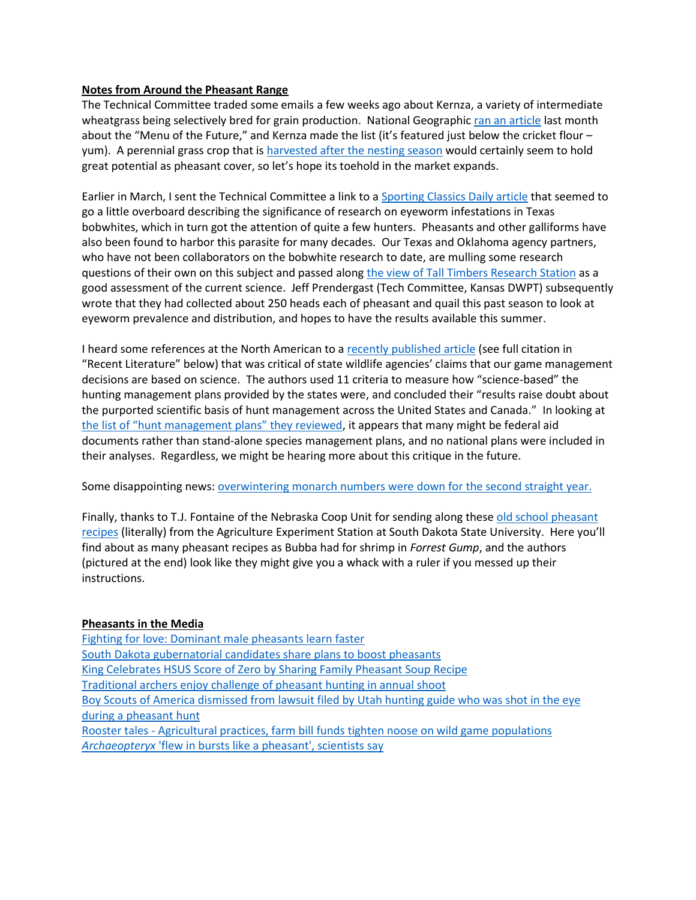#### **Notes from Around the Pheasant Range**

The Technical Committee traded some emails a few weeks ago about Kernza, a variety of intermediate wheatgrass being selectively bred for grain production. National Geographic [ran an article](https://news.nationalgeographic.com/future-of-food/future-of-food-agriculture-ecology/) last month about the "Menu of the Future," and Kernza made the list (it's featured just below the cricket flour – yum). A perennial grass crop that i[s harvested after the nesting season](https://www.youtube.com/watch?v=bllbOG5sGCQ) would certainly seem to hold great potential as pheasant cover, so let's hope its toehold in the market expands.

Earlier in March, I sent the Technical Committee a link to [a Sporting Classics Daily article](https://na01.safelinks.protection.outlook.com/?url=http%3A%2F%2Fsportingclassicsdaily.com%2Fa-closer-look-at-bobwhite-parasites%2F%3Futm_source%3DRetriever%2BResults%2B-%2BField%2BTrials-March%2B5%252C%2B2018%26utm_campaign%3DFT%2BNewsletter%26utm_medium%3Demail&data=02%7C01%7Cstaylor%40pheasantsforever.org%7C4e6e5cf0995d4773ef8d08d58aa0303e%7Caa7f2878315845b4bbebd7b7b3fe4ae3%7C1%7C1%7C636567342976534004&sdata=OGbJ9jNSP0nnpesigG12rkjo%2BxVcYDvcobtWpojTFOg%3D&reserved=0) that seemed to go a little overboard describing the significance of research on eyeworm infestations in Texas bobwhites, which in turn got the attention of quite a few hunters. Pheasants and other galliforms have also been found to harbor this parasite for many decades. Our Texas and Oklahoma agency partners, who have not been collaborators on the bobwhite research to date, are mulling some research questions of their own on this subject and passed alon[g the view of Tall Timbers Research Station](http://talltimbers.org/news/news.php?news_id=736) as a good assessment of the current science. Jeff Prendergast (Tech Committee, Kansas DWPT) subsequently wrote that they had collected about 250 heads each of pheasant and quail this past season to look at eyeworm prevalence and distribution, and hopes to have the results available this summer.

I heard some references at the North American to a [recently published article](http://advances.sciencemag.org/content/4/3/eaao0167.full) (see full citation in "Recent Literature" below) that was critical of state wildlife agencies' claims that our game management decisions are based on science. The authors used 11 criteria to measure how "science-based" the hunting management plans provided by the states were, and concluded their "results raise doubt about the purported scientific basis of hunt management across the United States and Canada." In looking at [the list of "hunt management plan](http://advances.sciencemag.org/highwire/filestream/202279/field_highwire_adjunct_files/1/aao0167_databaseS1.csv)s" they reviewed, it appears that many might be federal aid documents rather than stand-alone species management plans, and no national plans were included in their analyses. Regardless, we might be hearing more about this critique in the future.

Some disappointing news[: overwintering monarch numbers were down for the second](https://monarchjointventure.org/news-events/news/eastern-monarch-overwintering-population-numbers-announced) straight year.

Finally, thanks to T.J. Fontaine of the Nebraska Coop Unit for sending along these [old school pheasant](http://nationalpheasantplan.org/wp-content/uploads/2018/03/SDSU-old-school-rnp-recipes.pdf)  [recipes](http://nationalpheasantplan.org/wp-content/uploads/2018/03/SDSU-old-school-rnp-recipes.pdf) (literally) from the Agriculture Experiment Station at South Dakota State University. Here you'll find about as many pheasant recipes as Bubba had for shrimp in *Forrest Gump*, and the authors (pictured at the end) look like they might give you a whack with a ruler if you messed up their instructions.

### **Pheasants in the Media**

[Fighting for love: Dominant male pheasants learn faster](https://phys.org/news/2018-02-dominant-male-pheasants-faster.html) [South Dakota gubernatorial candidates share plans to boost pheasants](http://www.mitchellrepublic.com/news/government-and-politics/4405556-noem-jackley-share-initiatives-boost-sds-pheasant-population) [King Celebrates HSUS Score of Zero by Sharing Family Pheasant Soup Recipe](https://kiow.com/2018/03/03/king-celebrates-hsus-score-of-zero-by-sharing-family-pheasant-soup-recipe/) [Traditional archers enjoy challenge of pheasant hunting in annual shoot](https://www.jsonline.com/story/sports/outdoors/2018/03/03/smith-traditional-archers-enjoy-challenge-pheasant-hunting-annual-shoot/378850002/) [Boy Scouts of America dismissed from lawsuit filed by Utah hunting guide who was shot in the eye](https://www.sltrib.com/news/2018/02/06/boy-scouts-of-america-dismissed-from-lawsuit-filed-by-utah-hunting-guide-who-was-shot-in-the-eye-during-a-pheasant-hunt/)  [during a pheasant](https://www.sltrib.com/news/2018/02/06/boy-scouts-of-america-dismissed-from-lawsuit-filed-by-utah-hunting-guide-who-was-shot-in-the-eye-during-a-pheasant-hunt/) hunt Rooster tales - [Agricultural practices, farm bill funds tighten noose on wild game populations](http://www.enterprisepub.com/news/rooster-tales---agricultural-practices-farm-bill-funds-tighten/article_75700968-23b9-11e8-a9a0-6386e977e0c0.html) *Archaeopteryx* ['flew in bursts like a pheasant', scientists say](https://www.theguardian.com/science/2018/mar/13/archaeopteryx-flew-in-bursts-like-a-pheasant-scientists-say)